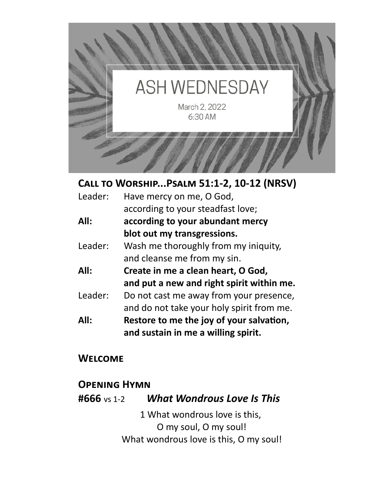

**Call to Worship...Psalm 51:1-2, 10-12 (NRSV)** 

| Leader: | Have mercy on me, O God,                  |  |
|---------|-------------------------------------------|--|
|         | according to your steadfast love;         |  |
| All:    | according to your abundant mercy          |  |
|         | blot out my transgressions.               |  |
| Leader: | Wash me thoroughly from my iniquity,      |  |
|         | and cleanse me from my sin.               |  |
| All:    | Create in me a clean heart, O God,        |  |
|         | and put a new and right spirit within me. |  |
| Leader: | Do not cast me away from your presence,   |  |
|         | and do not take your holy spirit from me. |  |
| All:    | Restore to me the joy of your salvation,  |  |
|         | and sustain in me a willing spirit.       |  |

## **Welcome**

## **Opening Hymn**

**#666** vs 1-2 *What Wondrous Love Is This*

1 What wondrous love is this, O my soul, O my soul! What wondrous love is this, O my soul!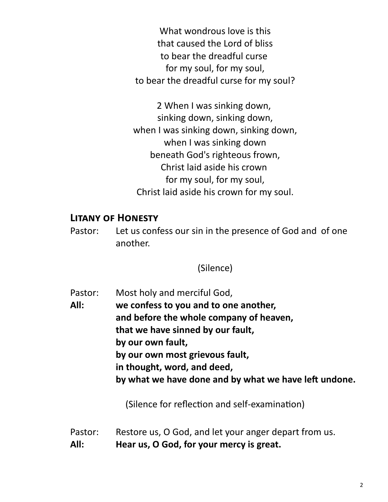What wondrous love is this that caused the Lord of bliss to bear the dreadful curse for my soul, for my soul, to bear the dreadful curse for my soul?

2 When I was sinking down, sinking down, sinking down, when I was sinking down, sinking down, when I was sinking down beneath God's righteous frown, Christ laid aside his crown for my soul, for my soul, Christ laid aside his crown for my soul.

#### **Litany of Honesty**

Pastor: Let us confess our sin in the presence of God and of one another.

(Silence)

Pastor: Most holy and merciful God, **All: we confess to you and to one another, and before the whole company of heaven, that we have sinned by our fault, by our own fault, by our own most grievous fault, in thought, word, and deed, by what we have done and by what we have left undone.**

(Silence for reflection and self-examination)

- Pastor: Restore us, O God, and let your anger depart from us.
- **All: Hear us, O God, for your mercy is great.**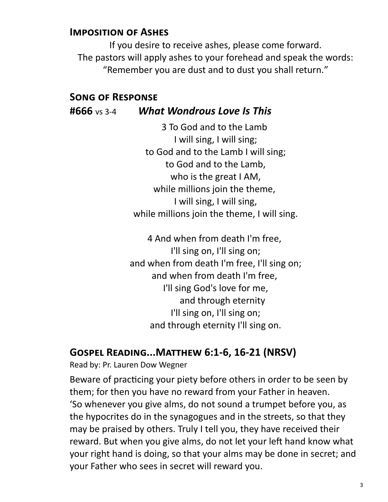#### **Imposition of Ashes**

If you desire to receive ashes, please come forward. The pastors will apply ashes to your forehead and speak the words: "Remember you are dust and to dust you shall return."

#### **Song of Response**

#### **#666** vs 3-4 *What Wondrous Love Is This*

3 To God and to the Lamb I will sing, I will sing; to God and to the Lamb I will sing; to God and to the Lamb, who is the great I AM, while millions join the theme, I will sing, I will sing, while millions join the theme, I will sing.

4 And when from death I'm free, I'll sing on, I'll sing on; and when from death I'm free, I'll sing on; and when from death I'm free, I'll sing God's love for me, and through eternity I'll sing on, I'll sing on; and through eternity I'll sing on.

#### **Gospel Reading...Matthew 6:1-6, 16-21 (NRSV)**

Read by: Pr. Lauren Dow Wegner

Beware of practicing your piety before others in order to be seen by them; for then you have no reward from your Father in heaven. 'So whenever you give alms, do not sound a trumpet before you, as the hypocrites do in the synagogues and in the streets, so that they may be praised by others. Truly I tell you, they have received their reward. But when you give alms, do not let your left hand know what your right hand is doing, so that your alms may be done in secret; and your Father who sees in secret will reward you.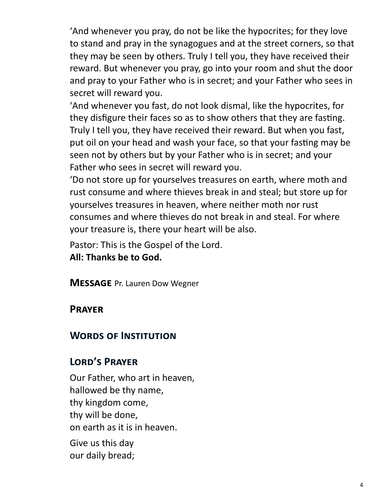'And whenever you pray, do not be like the hypocrites; for they love to stand and pray in the synagogues and at the street corners, so that they may be seen by others. Truly I tell you, they have received their reward. But whenever you pray, go into your room and shut the door and pray to your Father who is in secret; and your Father who sees in secret will reward you.

'And whenever you fast, do not look dismal, like the hypocrites, for they disfigure their faces so as to show others that they are fasting. Truly I tell you, they have received their reward. But when you fast, put oil on your head and wash your face, so that your fasting may be seen not by others but by your Father who is in secret; and your Father who sees in secret will reward you.

'Do not store up for yourselves treasures on earth, where moth and rust consume and where thieves break in and steal; but store up for yourselves treasures in heaven, where neither moth nor rust consumes and where thieves do not break in and steal. For where your treasure is, there your heart will be also.

Pastor: This is the Gospel of the Lord. **All: Thanks be to God.**

**Message** Pr. Lauren Dow Wegner

## **Prayer**

## **Words of Institution**

## **Lord's Prayer**

Our Father, who art in heaven, hallowed be thy name, thy kingdom come, thy will be done, on earth as it is in heaven.

Give us this day our daily bread;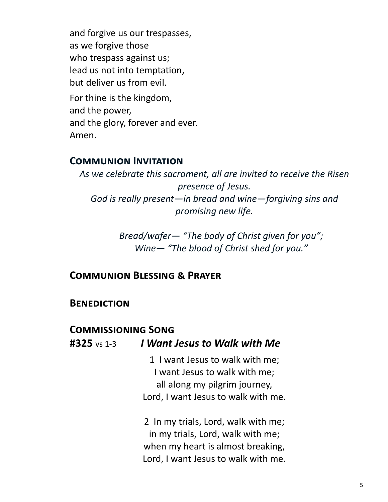and forgive us our trespasses, as we forgive those who trespass against us; lead us not into temptation, but deliver us from evil.

For thine is the kingdom, and the power, and the glory, forever and ever. Amen.

#### **Communion Invitation**

*As we celebrate this sacrament, all are invited to receive the Risen presence of Jesus. God is really present—in bread and wine—forgiving sins and promising new life.* 

> *Bread/wafer— "The body of Christ given for you"; Wine— "The blood of Christ shed for you."*

#### **Communion Blessing & Prayer**

#### **Benediction**

#### **Commissioning Song**

#### **#325** vs 1-3 *I Want Jesus to Walk with Me*

1 I want Jesus to walk with me; I want Jesus to walk with me; all along my pilgrim journey, Lord, I want Jesus to walk with me.

2 In my trials, Lord, walk with me; in my trials, Lord, walk with me; when my heart is almost breaking, Lord, I want Jesus to walk with me.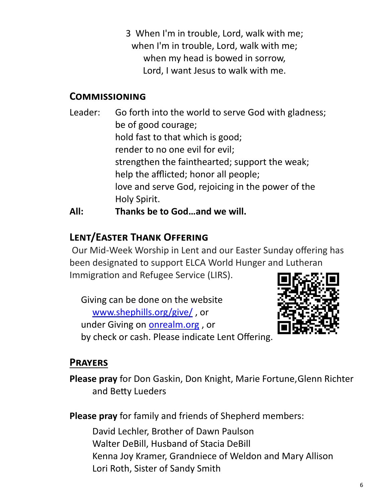3 When I'm in trouble, Lord, walk with me; when I'm in trouble, Lord, walk with me; when my head is bowed in sorrow, Lord, I want Jesus to walk with me.

## **Commissioning**

Leader: Go forth into the world to serve God with gladness; be of good courage; hold fast to that which is good; render to no one evil for evil; strengthen the fainthearted; support the weak; help the afflicted; honor all people; love and serve God, rejoicing in the power of the Holy Spirit. **All: Thanks be to God…and we will.** 

## **Lent/Easter Thank Offering**

Our Mid-Week Worship in Lent and our Easter Sunday offering has been designated to support ELCA World Hunger and Lutheran Immigration and Refugee Service (LIRS).

Giving can be done on the website [www.shephills.org/give/](http://www.shephills.org/give/) , or under Giving on <onrealm.org> , or by check or cash. Please indicate Lent Offering.



## **Prayers**

**Please pray** for Don Gaskin, Don Knight, Marie Fortune,Glenn Richter and Betty Lueders

**Please pray** for family and friends of Shepherd members:

David Lechler, Brother of Dawn Paulson Walter DeBill, Husband of Stacia DeBill Kenna Joy Kramer, Grandniece of Weldon and Mary Allison Lori Roth, Sister of Sandy Smith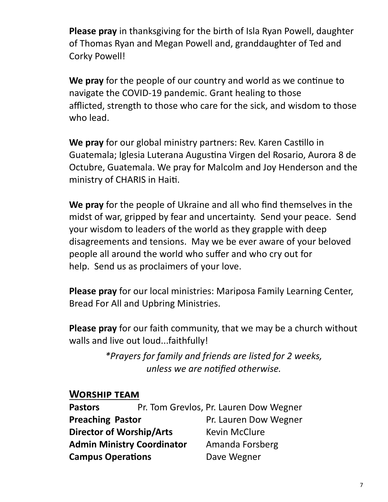**Please pray** in thanksgiving for the birth of Isla Ryan Powell, daughter of Thomas Ryan and Megan Powell and, granddaughter of Ted and Corky Powell!

**We pray** for the people of our country and world as we continue to navigate the COVID-19 pandemic. Grant healing to those afflicted, strength to those who care for the sick, and wisdom to those who lead.

**We pray** for our global ministry partners: Rev. Karen Castillo in Guatemala; Iglesia Luterana Augustina Virgen del Rosario, Aurora 8 de Octubre, Guatemala. We pray for Malcolm and Joy Henderson and the ministry of CHARIS in Haiti.

**We pray** for the people of Ukraine and all who find themselves in the midst of war, gripped by fear and uncertainty. Send your peace. Send your wisdom to leaders of the world as they grapple with deep disagreements and tensions. May we be ever aware of your beloved people all around the world who suffer and who cry out for help. Send us as proclaimers of your love.

**Please pray** for our local ministries: Mariposa Family Learning Center, Bread For All and Upbring Ministries.

**Please pray** for our faith community, that we may be a church without walls and live out loud...faithfully!

> *\*Prayers for family and friends are listed for 2 weeks, unless we are notified otherwise.*

#### **Worship team**

| <b>Pastors</b>                    | Pr. Tom Grevlos, Pr. Lauren Dow Wegner |
|-----------------------------------|----------------------------------------|
| <b>Preaching Pastor</b>           | Pr. Lauren Dow Wegner                  |
| <b>Director of Worship/Arts</b>   | <b>Kevin McClure</b>                   |
| <b>Admin Ministry Coordinator</b> | Amanda Forsberg                        |
| <b>Campus Operations</b>          | Dave Wegner                            |